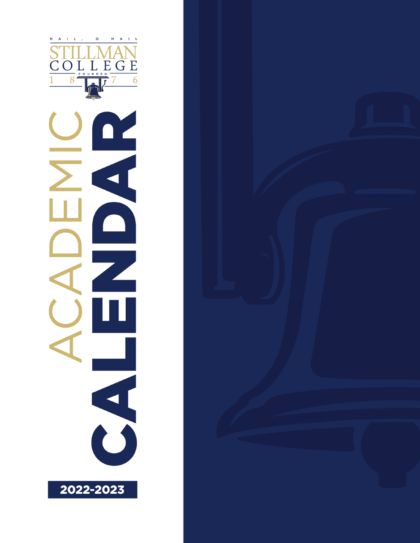

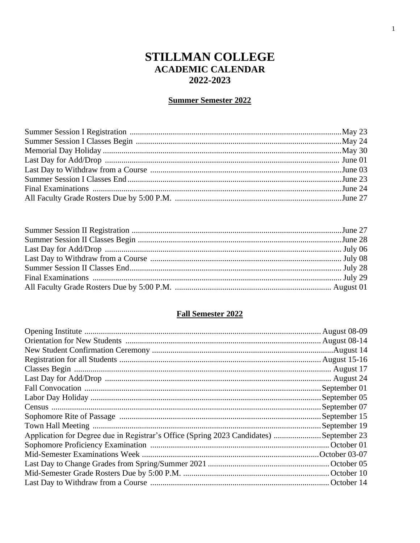# **STILLMAN COLLEGE ACADEMIC CALENDAR** 2022-2023

## **Summer Semester 2022**

## **Fall Semester 2022**

|                                                                                        | . August 08-09 |
|----------------------------------------------------------------------------------------|----------------|
|                                                                                        |                |
|                                                                                        |                |
|                                                                                        | . August 15-16 |
|                                                                                        |                |
|                                                                                        |                |
|                                                                                        |                |
|                                                                                        |                |
|                                                                                        | September 07   |
|                                                                                        | September 15   |
|                                                                                        | September 19   |
| Application for Degree due in Registrar's Office (Spring 2023 Candidates) September 23 |                |
|                                                                                        |                |
|                                                                                        |                |
|                                                                                        |                |
|                                                                                        |                |
|                                                                                        |                |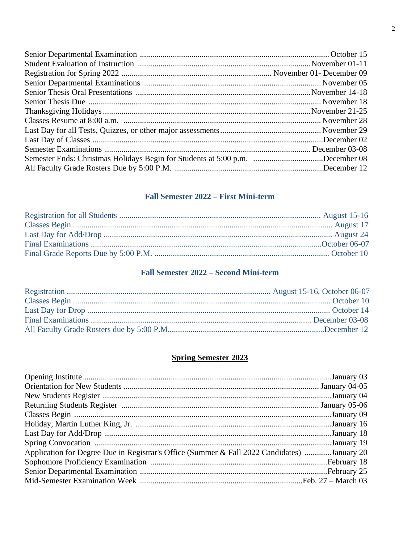| Semester Ends: Christmas Holidays Begin for Students at 5:00 p.m. December 08 |  |
|-------------------------------------------------------------------------------|--|
|                                                                               |  |

## Fall Semester 2022 – First Mini-term

## **Fall Semester 2022 - Second Mini-term**

#### **Spring Semester 2023**

| Application for Degree Due in Registrar's Office (Summer & Fall 2022 Candidates) January 20 |  |
|---------------------------------------------------------------------------------------------|--|
|                                                                                             |  |
|                                                                                             |  |
|                                                                                             |  |